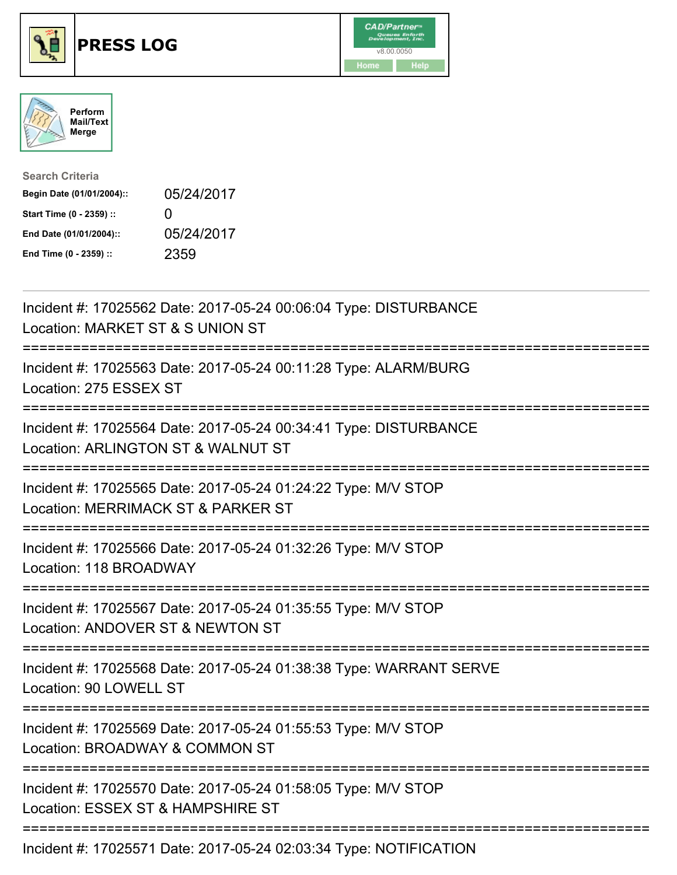





| <b>Search Criteria</b>    |              |
|---------------------------|--------------|
| Begin Date (01/01/2004):: | 05/24/2017   |
| Start Time (0 - 2359) ::  | $\mathbf{U}$ |
| End Date (01/01/2004)::   | 05/24/2017   |
| End Time (0 - 2359) ::    | 2359         |

| Incident #: 17025562 Date: 2017-05-24 00:06:04 Type: DISTURBANCE<br>Location: MARKET ST & S UNION ST                                                |
|-----------------------------------------------------------------------------------------------------------------------------------------------------|
| Incident #: 17025563 Date: 2017-05-24 00:11:28 Type: ALARM/BURG<br>Location: 275 ESSEX ST<br>--------------                                         |
| Incident #: 17025564 Date: 2017-05-24 00:34:41 Type: DISTURBANCE<br>Location: ARLINGTON ST & WALNUT ST<br>=================<br>-------------------- |
| Incident #: 17025565 Date: 2017-05-24 01:24:22 Type: M/V STOP<br>Location: MERRIMACK ST & PARKER ST<br>======================<br>--------------     |
| Incident #: 17025566 Date: 2017-05-24 01:32:26 Type: M/V STOP<br>Location: 118 BROADWAY<br>-------------------------------------                    |
| Incident #: 17025567 Date: 2017-05-24 01:35:55 Type: M/V STOP<br>Location: ANDOVER ST & NEWTON ST                                                   |
| Incident #: 17025568 Date: 2017-05-24 01:38:38 Type: WARRANT SERVE<br>Location: 90 LOWELL ST<br>====================================                |
| Incident #: 17025569 Date: 2017-05-24 01:55:53 Type: M/V STOP<br>Location: BROADWAY & COMMON ST                                                     |
| Incident #: 17025570 Date: 2017-05-24 01:58:05 Type: M/V STOP<br>Location: ESSEX ST & HAMPSHIRE ST                                                  |
| Incident #: 17025571 Date: 2017-05-24 02:03:34 Type: NOTIFICATION                                                                                   |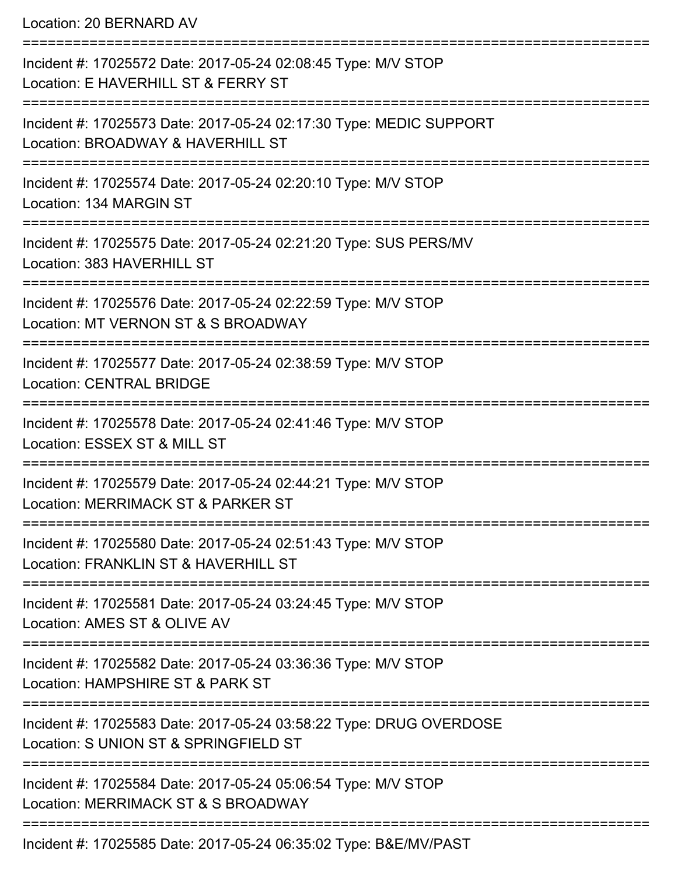Location: 20 BERNARD AV

| Incident #: 17025572 Date: 2017-05-24 02:08:45 Type: M/V STOP<br>Location: E HAVERHILL ST & FERRY ST        |
|-------------------------------------------------------------------------------------------------------------|
| Incident #: 17025573 Date: 2017-05-24 02:17:30 Type: MEDIC SUPPORT<br>Location: BROADWAY & HAVERHILL ST     |
| Incident #: 17025574 Date: 2017-05-24 02:20:10 Type: M/V STOP<br>Location: 134 MARGIN ST                    |
| Incident #: 17025575 Date: 2017-05-24 02:21:20 Type: SUS PERS/MV<br>Location: 383 HAVERHILL ST              |
| Incident #: 17025576 Date: 2017-05-24 02:22:59 Type: M/V STOP<br>Location: MT VERNON ST & S BROADWAY        |
| Incident #: 17025577 Date: 2017-05-24 02:38:59 Type: M/V STOP<br><b>Location: CENTRAL BRIDGE</b>            |
| Incident #: 17025578 Date: 2017-05-24 02:41:46 Type: M/V STOP<br>Location: ESSEX ST & MILL ST               |
| Incident #: 17025579 Date: 2017-05-24 02:44:21 Type: M/V STOP<br>Location: MERRIMACK ST & PARKER ST         |
| Incident #: 17025580 Date: 2017-05-24 02:51:43 Type: M/V STOP<br>Location: FRANKLIN ST & HAVERHILL ST       |
| Incident #: 17025581 Date: 2017-05-24 03:24:45 Type: M/V STOP<br>Location: AMES ST & OLIVE AV               |
| Incident #: 17025582 Date: 2017-05-24 03:36:36 Type: M/V STOP<br>Location: HAMPSHIRE ST & PARK ST           |
| Incident #: 17025583 Date: 2017-05-24 03:58:22 Type: DRUG OVERDOSE<br>Location: S UNION ST & SPRINGFIELD ST |
| Incident #: 17025584 Date: 2017-05-24 05:06:54 Type: M/V STOP<br>Location: MERRIMACK ST & S BROADWAY        |
| Incident #: 17025585 Date: 2017-05-24 06:35:02 Type: B&E/MV/PAST                                            |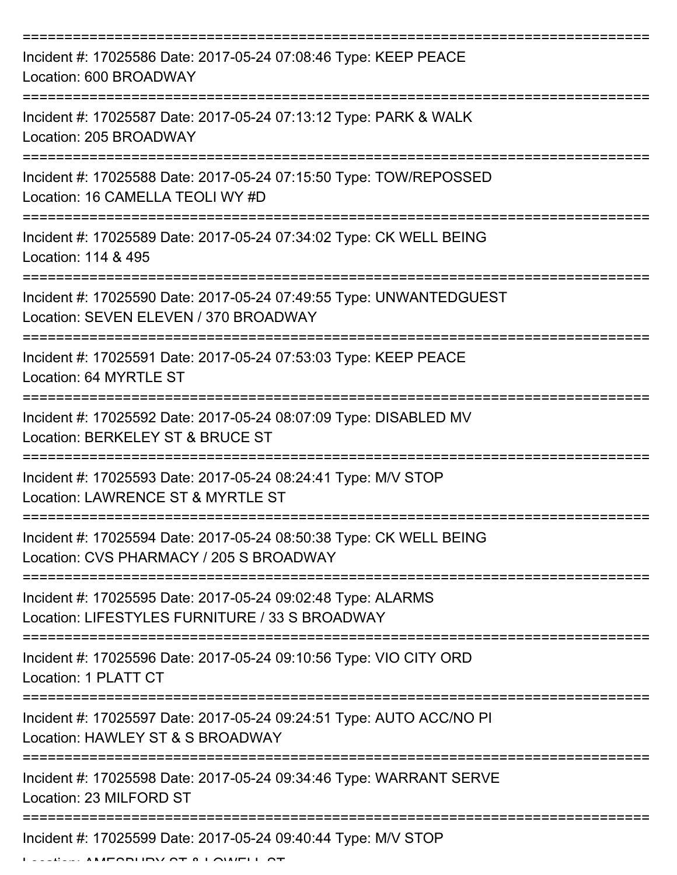| Incident #: 17025586 Date: 2017-05-24 07:08:46 Type: KEEP PEACE<br>Location: 600 BROADWAY                                        |
|----------------------------------------------------------------------------------------------------------------------------------|
| Incident #: 17025587 Date: 2017-05-24 07:13:12 Type: PARK & WALK<br>Location: 205 BROADWAY                                       |
| Incident #: 17025588 Date: 2017-05-24 07:15:50 Type: TOW/REPOSSED<br>Location: 16 CAMELLA TEOLI WY #D                            |
| Incident #: 17025589 Date: 2017-05-24 07:34:02 Type: CK WELL BEING<br>Location: 114 & 495                                        |
| Incident #: 17025590 Date: 2017-05-24 07:49:55 Type: UNWANTEDGUEST<br>Location: SEVEN ELEVEN / 370 BROADWAY<br>:================ |
| Incident #: 17025591 Date: 2017-05-24 07:53:03 Type: KEEP PEACE<br>Location: 64 MYRTLE ST                                        |
| Incident #: 17025592 Date: 2017-05-24 08:07:09 Type: DISABLED MV<br>Location: BERKELEY ST & BRUCE ST                             |
| Incident #: 17025593 Date: 2017-05-24 08:24:41 Type: M/V STOP<br>Location: LAWRENCE ST & MYRTLE ST                               |
| Incident #: 17025594 Date: 2017-05-24 08:50:38 Type: CK WELL BEING<br>Location: CVS PHARMACY / 205 S BROADWAY                    |
| Incident #: 17025595 Date: 2017-05-24 09:02:48 Type: ALARMS<br>Location: LIFESTYLES FURNITURE / 33 S BROADWAY                    |
| Incident #: 17025596 Date: 2017-05-24 09:10:56 Type: VIO CITY ORD<br>Location: 1 PLATT CT                                        |
| Incident #: 17025597 Date: 2017-05-24 09:24:51 Type: AUTO ACC/NO PI<br>Location: HAWLEY ST & S BROADWAY                          |
| Incident #: 17025598 Date: 2017-05-24 09:34:46 Type: WARRANT SERVE<br>Location: 23 MILFORD ST                                    |
| Incident #: 17025599 Date: 2017-05-24 09:40:44 Type: M/V STOP                                                                    |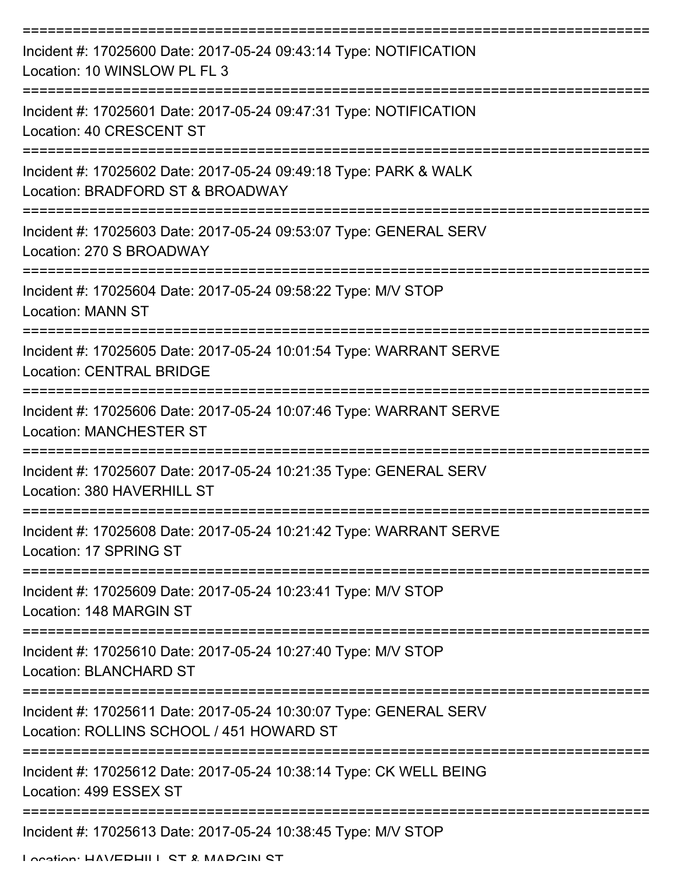| Incident #: 17025600 Date: 2017-05-24 09:43:14 Type: NOTIFICATION<br>Location: 10 WINSLOW PL FL 3             |
|---------------------------------------------------------------------------------------------------------------|
| Incident #: 17025601 Date: 2017-05-24 09:47:31 Type: NOTIFICATION<br>Location: 40 CRESCENT ST                 |
| Incident #: 17025602 Date: 2017-05-24 09:49:18 Type: PARK & WALK<br>Location: BRADFORD ST & BROADWAY          |
| Incident #: 17025603 Date: 2017-05-24 09:53:07 Type: GENERAL SERV<br>Location: 270 S BROADWAY                 |
| Incident #: 17025604 Date: 2017-05-24 09:58:22 Type: M/V STOP<br><b>Location: MANN ST</b>                     |
| Incident #: 17025605 Date: 2017-05-24 10:01:54 Type: WARRANT SERVE<br><b>Location: CENTRAL BRIDGE</b>         |
| Incident #: 17025606 Date: 2017-05-24 10:07:46 Type: WARRANT SERVE<br><b>Location: MANCHESTER ST</b>          |
| Incident #: 17025607 Date: 2017-05-24 10:21:35 Type: GENERAL SERV<br>Location: 380 HAVERHILL ST               |
| Incident #: 17025608 Date: 2017-05-24 10:21:42 Type: WARRANT SERVE<br>Location: 17 SPRING ST                  |
| Incident #: 17025609 Date: 2017-05-24 10:23:41 Type: M/V STOP<br>Location: 148 MARGIN ST                      |
| Incident #: 17025610 Date: 2017-05-24 10:27:40 Type: M/V STOP<br><b>Location: BLANCHARD ST</b>                |
| Incident #: 17025611 Date: 2017-05-24 10:30:07 Type: GENERAL SERV<br>Location: ROLLINS SCHOOL / 451 HOWARD ST |
| Incident #: 17025612 Date: 2017-05-24 10:38:14 Type: CK WELL BEING<br>Location: 499 ESSEX ST                  |
| Incident #: 17025613 Date: 2017-05-24 10:38:45 Type: M/V STOP                                                 |

Location: HAVEDHILL ST & MADCIN ST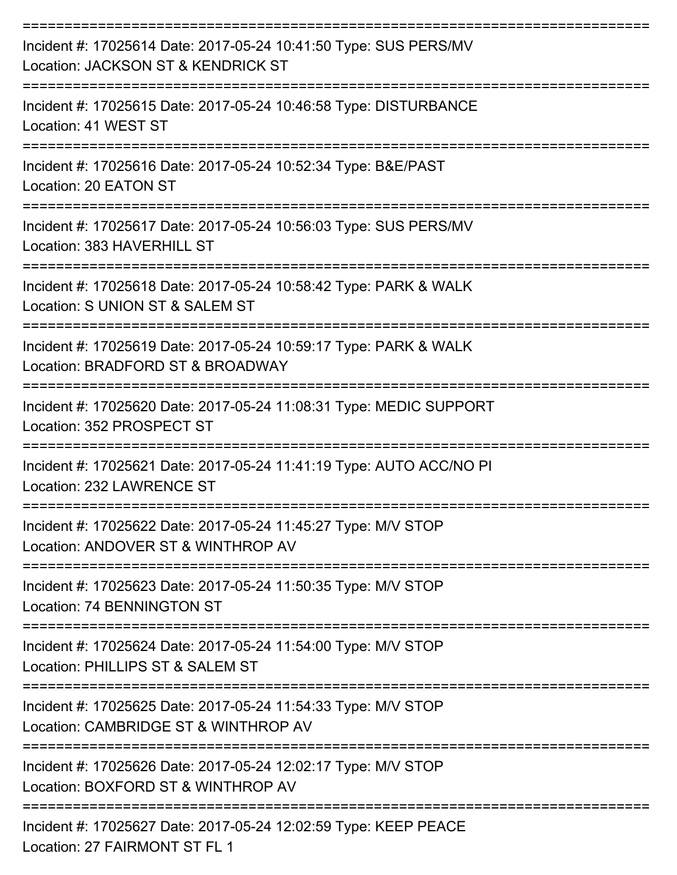| Incident #: 17025614 Date: 2017-05-24 10:41:50 Type: SUS PERS/MV<br>Location: JACKSON ST & KENDRICK ST |
|--------------------------------------------------------------------------------------------------------|
| Incident #: 17025615 Date: 2017-05-24 10:46:58 Type: DISTURBANCE<br>Location: 41 WEST ST               |
| Incident #: 17025616 Date: 2017-05-24 10:52:34 Type: B&E/PAST<br>Location: 20 EATON ST                 |
| Incident #: 17025617 Date: 2017-05-24 10:56:03 Type: SUS PERS/MV<br>Location: 383 HAVERHILL ST         |
| Incident #: 17025618 Date: 2017-05-24 10:58:42 Type: PARK & WALK<br>Location: S UNION ST & SALEM ST    |
| Incident #: 17025619 Date: 2017-05-24 10:59:17 Type: PARK & WALK<br>Location: BRADFORD ST & BROADWAY   |
| Incident #: 17025620 Date: 2017-05-24 11:08:31 Type: MEDIC SUPPORT<br>Location: 352 PROSPECT ST        |
| Incident #: 17025621 Date: 2017-05-24 11:41:19 Type: AUTO ACC/NO PI<br>Location: 232 LAWRENCE ST       |
| Incident #: 17025622 Date: 2017-05-24 11:45:27 Type: M/V STOP<br>Location: ANDOVER ST & WINTHROP AV    |
| Incident #: 17025623 Date: 2017-05-24 11:50:35 Type: M/V STOP<br>Location: 74 BENNINGTON ST            |
| Incident #: 17025624 Date: 2017-05-24 11:54:00 Type: M/V STOP<br>Location: PHILLIPS ST & SALEM ST      |
| Incident #: 17025625 Date: 2017-05-24 11:54:33 Type: M/V STOP<br>Location: CAMBRIDGE ST & WINTHROP AV  |
| Incident #: 17025626 Date: 2017-05-24 12:02:17 Type: M/V STOP<br>Location: BOXFORD ST & WINTHROP AV    |
| Incident #: 17025627 Date: 2017-05-24 12:02:59 Type: KEEP PEACE                                        |

Location: 27 FAIRMONT ST FL 1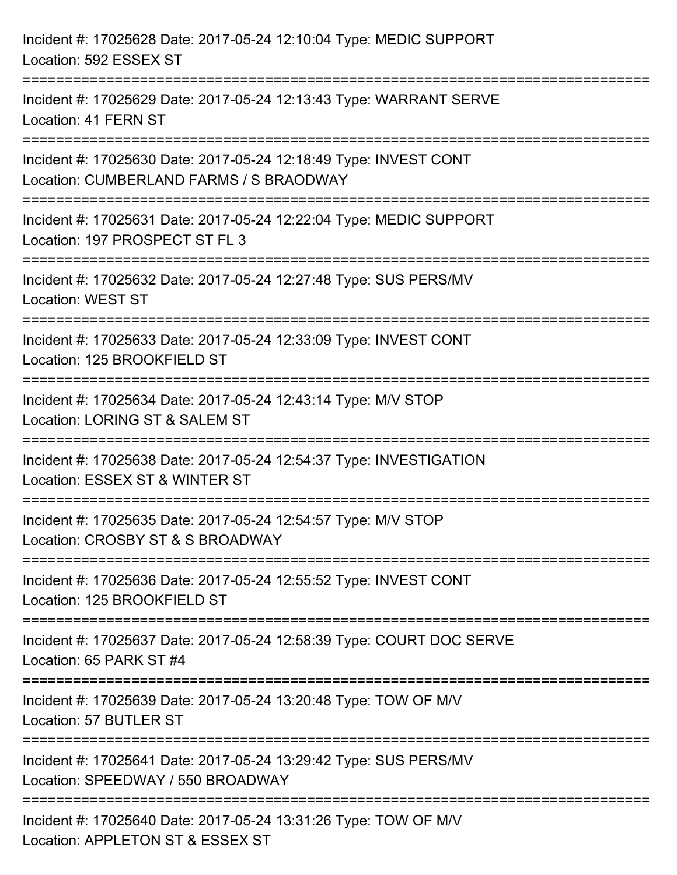| Incident #: 17025628 Date: 2017-05-24 12:10:04 Type: MEDIC SUPPORT<br>Location: 592 ESSEX ST                |
|-------------------------------------------------------------------------------------------------------------|
| Incident #: 17025629 Date: 2017-05-24 12:13:43 Type: WARRANT SERVE<br>Location: 41 FERN ST                  |
| Incident #: 17025630 Date: 2017-05-24 12:18:49 Type: INVEST CONT<br>Location: CUMBERLAND FARMS / S BRAODWAY |
| Incident #: 17025631 Date: 2017-05-24 12:22:04 Type: MEDIC SUPPORT<br>Location: 197 PROSPECT ST FL 3        |
| Incident #: 17025632 Date: 2017-05-24 12:27:48 Type: SUS PERS/MV<br><b>Location: WEST ST</b>                |
| Incident #: 17025633 Date: 2017-05-24 12:33:09 Type: INVEST CONT<br>Location: 125 BROOKFIELD ST             |
| Incident #: 17025634 Date: 2017-05-24 12:43:14 Type: M/V STOP<br>Location: LORING ST & SALEM ST             |
| Incident #: 17025638 Date: 2017-05-24 12:54:37 Type: INVESTIGATION<br>Location: ESSEX ST & WINTER ST        |
| Incident #: 17025635 Date: 2017-05-24 12:54:57 Type: M/V STOP<br>Location: CROSBY ST & S BROADWAY           |
| Incident #: 17025636 Date: 2017-05-24 12:55:52 Type: INVEST CONT<br>Location: 125 BROOKFIELD ST             |
| Incident #: 17025637 Date: 2017-05-24 12:58:39 Type: COURT DOC SERVE<br>Location: 65 PARK ST #4             |
| Incident #: 17025639 Date: 2017-05-24 13:20:48 Type: TOW OF M/V<br>Location: 57 BUTLER ST                   |
| Incident #: 17025641 Date: 2017-05-24 13:29:42 Type: SUS PERS/MV<br>Location: SPEEDWAY / 550 BROADWAY       |
| Incident #: 17025640 Date: 2017-05-24 13:31:26 Type: TOW OF M/V<br>Location: APPLETON ST & ESSEX ST         |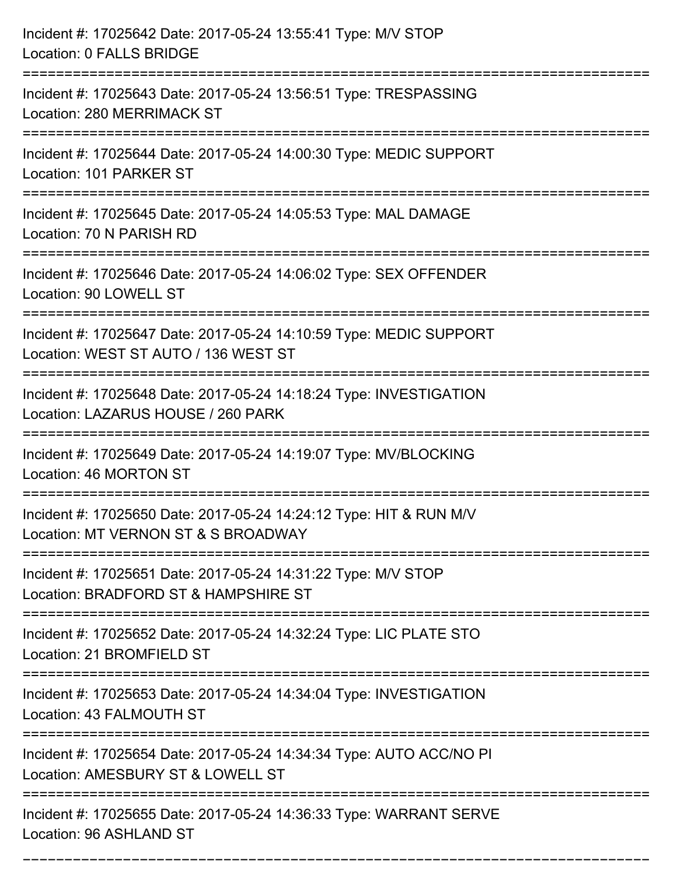| Incident #: 17025642 Date: 2017-05-24 13:55:41 Type: M/V STOP<br><b>Location: 0 FALLS BRIDGE</b>                                         |
|------------------------------------------------------------------------------------------------------------------------------------------|
| Incident #: 17025643 Date: 2017-05-24 13:56:51 Type: TRESPASSING<br><b>Location: 280 MERRIMACK ST</b>                                    |
| Incident #: 17025644 Date: 2017-05-24 14:00:30 Type: MEDIC SUPPORT<br>Location: 101 PARKER ST                                            |
| Incident #: 17025645 Date: 2017-05-24 14:05:53 Type: MAL DAMAGE<br>Location: 70 N PARISH RD                                              |
| Incident #: 17025646 Date: 2017-05-24 14:06:02 Type: SEX OFFENDER<br>Location: 90 LOWELL ST                                              |
| Incident #: 17025647 Date: 2017-05-24 14:10:59 Type: MEDIC SUPPORT<br>Location: WEST ST AUTO / 136 WEST ST                               |
| Incident #: 17025648 Date: 2017-05-24 14:18:24 Type: INVESTIGATION<br>Location: LAZARUS HOUSE / 260 PARK                                 |
| Incident #: 17025649 Date: 2017-05-24 14:19:07 Type: MV/BLOCKING<br>Location: 46 MORTON ST                                               |
| Incident #: 17025650 Date: 2017-05-24 14:24:12 Type: HIT & RUN M/V<br>Location: MT VERNON ST & S BROADWAY                                |
| Incident #: 17025651 Date: 2017-05-24 14:31:22 Type: M/V STOP<br>Location: BRADFORD ST & HAMPSHIRE ST<br>=============================== |
| Incident #: 17025652 Date: 2017-05-24 14:32:24 Type: LIC PLATE STO<br>Location: 21 BROMFIELD ST                                          |
| Incident #: 17025653 Date: 2017-05-24 14:34:04 Type: INVESTIGATION<br>Location: 43 FALMOUTH ST                                           |
| Incident #: 17025654 Date: 2017-05-24 14:34:34 Type: AUTO ACC/NO PI<br>Location: AMESBURY ST & LOWELL ST                                 |
| --------------------------<br>Incident #: 17025655 Date: 2017-05-24 14:36:33 Type: WARRANT SERVE<br>Location: 96 ASHLAND ST              |

===========================================================================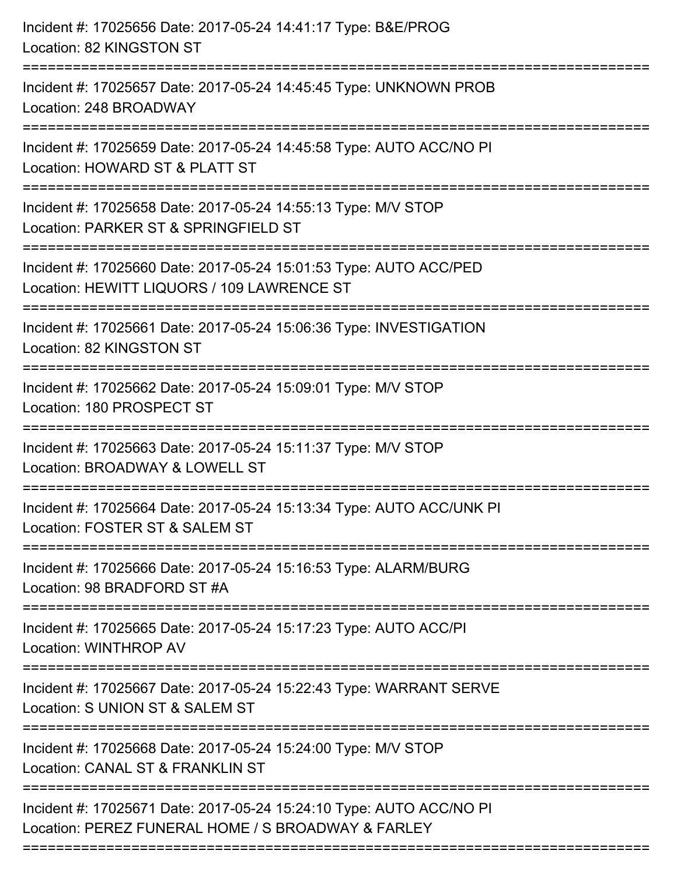| Incident #: 17025656 Date: 2017-05-24 14:41:17 Type: B&E/PROG<br>Location: 82 KINGSTON ST                                                   |
|---------------------------------------------------------------------------------------------------------------------------------------------|
| Incident #: 17025657 Date: 2017-05-24 14:45:45 Type: UNKNOWN PROB<br>Location: 248 BROADWAY                                                 |
| Incident #: 17025659 Date: 2017-05-24 14:45:58 Type: AUTO ACC/NO PI<br>Location: HOWARD ST & PLATT ST<br>==================                 |
| Incident #: 17025658 Date: 2017-05-24 14:55:13 Type: M/V STOP<br>Location: PARKER ST & SPRINGFIELD ST                                       |
| Incident #: 17025660 Date: 2017-05-24 15:01:53 Type: AUTO ACC/PED<br>Location: HEWITT LIQUORS / 109 LAWRENCE ST<br>======================== |
| Incident #: 17025661 Date: 2017-05-24 15:06:36 Type: INVESTIGATION<br>Location: 82 KINGSTON ST                                              |
| Incident #: 17025662 Date: 2017-05-24 15:09:01 Type: M/V STOP<br>Location: 180 PROSPECT ST<br>====================================          |
| Incident #: 17025663 Date: 2017-05-24 15:11:37 Type: M/V STOP<br>Location: BROADWAY & LOWELL ST                                             |
| Incident #: 17025664 Date: 2017-05-24 15:13:34 Type: AUTO ACC/UNK PI<br>Location: FOSTER ST & SALEM ST                                      |
| Incident #: 17025666 Date: 2017-05-24 15:16:53 Type: ALARM/BURG<br>Location: 98 BRADFORD ST #A                                              |
| Incident #: 17025665 Date: 2017-05-24 15:17:23 Type: AUTO ACC/PI<br>Location: WINTHROP AV                                                   |
| Incident #: 17025667 Date: 2017-05-24 15:22:43 Type: WARRANT SERVE<br>Location: S UNION ST & SALEM ST                                       |
| Incident #: 17025668 Date: 2017-05-24 15:24:00 Type: M/V STOP<br>Location: CANAL ST & FRANKLIN ST                                           |
| Incident #: 17025671 Date: 2017-05-24 15:24:10 Type: AUTO ACC/NO PI<br>Location: PEREZ FUNERAL HOME / S BROADWAY & FARLEY                   |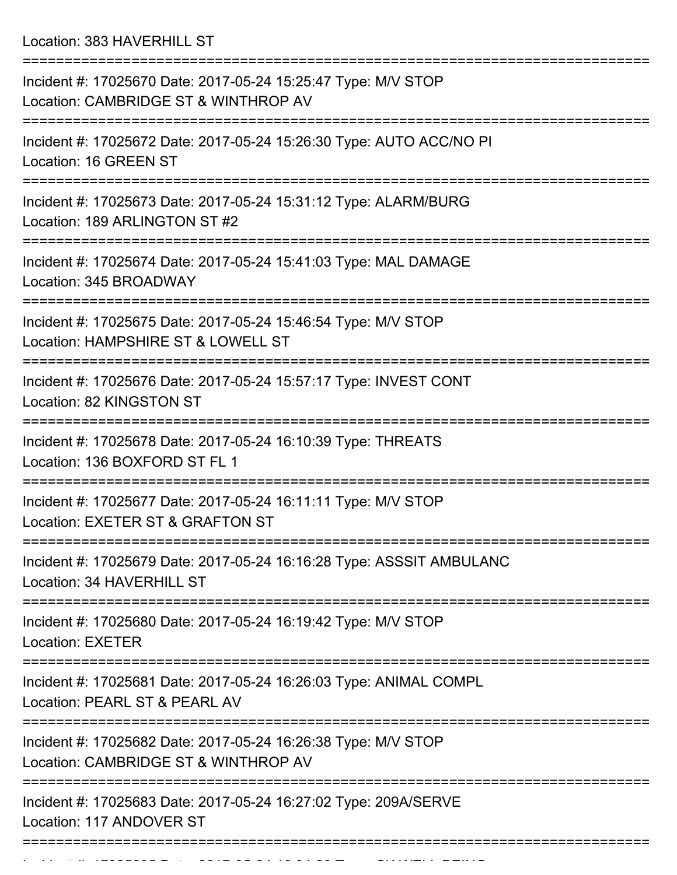Location: 383 HAVERHILL ST

| Incident #: 17025670 Date: 2017-05-24 15:25:47 Type: M/V STOP<br>Location: CAMBRIDGE ST & WINTHROP AV                                                    |
|----------------------------------------------------------------------------------------------------------------------------------------------------------|
| Incident #: 17025672 Date: 2017-05-24 15:26:30 Type: AUTO ACC/NO PI<br>Location: 16 GREEN ST                                                             |
| Incident #: 17025673 Date: 2017-05-24 15:31:12 Type: ALARM/BURG<br>Location: 189 ARLINGTON ST #2                                                         |
| Incident #: 17025674 Date: 2017-05-24 15:41:03 Type: MAL DAMAGE<br>Location: 345 BROADWAY                                                                |
| Incident #: 17025675 Date: 2017-05-24 15:46:54 Type: M/V STOP<br>Location: HAMPSHIRE ST & LOWELL ST                                                      |
| Incident #: 17025676 Date: 2017-05-24 15:57:17 Type: INVEST CONT<br>Location: 82 KINGSTON ST                                                             |
| Incident #: 17025678 Date: 2017-05-24 16:10:39 Type: THREATS<br>Location: 136 BOXFORD ST FL 1                                                            |
| Incident #: 17025677 Date: 2017-05-24 16:11:11 Type: M/V STOP<br>Location: EXETER ST & GRAFTON ST                                                        |
| Incident #: 17025679 Date: 2017-05-24 16:16:28 Type: ASSSIT AMBULANC<br>Location: 34 HAVERHILL ST                                                        |
| =======================<br>=================================<br>Incident #: 17025680 Date: 2017-05-24 16:19:42 Type: M/V STOP<br><b>Location: EXETER</b> |
| Incident #: 17025681 Date: 2017-05-24 16:26:03 Type: ANIMAL COMPL<br>Location: PEARL ST & PEARL AV                                                       |
| Incident #: 17025682 Date: 2017-05-24 16:26:38 Type: M/V STOP<br>Location: CAMBRIDGE ST & WINTHROP AV                                                    |
| Incident #: 17025683 Date: 2017-05-24 16:27:02 Type: 209A/SERVE<br>Location: 117 ANDOVER ST                                                              |
|                                                                                                                                                          |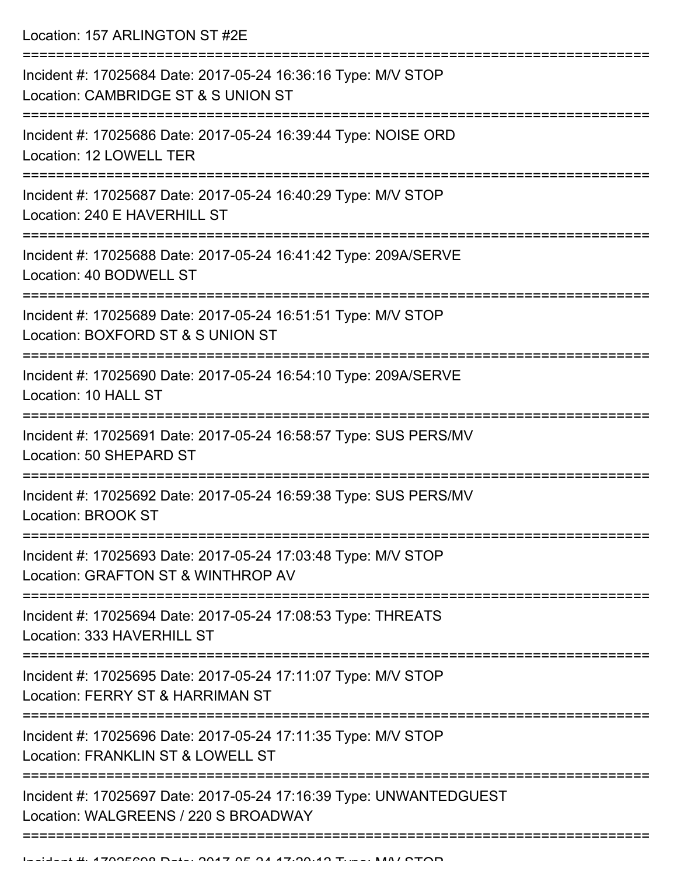Location: 157 ARLINGTON ST #2E

| Incident #: 17025684 Date: 2017-05-24 16:36:16 Type: M/V STOP<br>Location: CAMBRIDGE ST & S UNION ST       |
|------------------------------------------------------------------------------------------------------------|
| Incident #: 17025686 Date: 2017-05-24 16:39:44 Type: NOISE ORD<br>Location: 12 LOWELL TER                  |
| Incident #: 17025687 Date: 2017-05-24 16:40:29 Type: M/V STOP<br>Location: 240 E HAVERHILL ST              |
| Incident #: 17025688 Date: 2017-05-24 16:41:42 Type: 209A/SERVE<br>Location: 40 BODWELL ST                 |
| Incident #: 17025689 Date: 2017-05-24 16:51:51 Type: M/V STOP<br>Location: BOXFORD ST & S UNION ST         |
| Incident #: 17025690 Date: 2017-05-24 16:54:10 Type: 209A/SERVE<br>Location: 10 HALL ST                    |
| Incident #: 17025691 Date: 2017-05-24 16:58:57 Type: SUS PERS/MV<br>Location: 50 SHEPARD ST                |
| Incident #: 17025692 Date: 2017-05-24 16:59:38 Type: SUS PERS/MV<br>Location: BROOK ST                     |
| Incident #: 17025693 Date: 2017-05-24 17:03:48 Type: M/V STOP<br>Location: GRAFTON ST & WINTHROP AV        |
| Incident #: 17025694 Date: 2017-05-24 17:08:53 Type: THREATS<br>Location: 333 HAVERHILL ST                 |
| Incident #: 17025695 Date: 2017-05-24 17:11:07 Type: M/V STOP<br>Location: FERRY ST & HARRIMAN ST          |
| Incident #: 17025696 Date: 2017-05-24 17:11:35 Type: M/V STOP<br>Location: FRANKLIN ST & LOWELL ST         |
| Incident #: 17025697 Date: 2017-05-24 17:16:39 Type: UNWANTEDGUEST<br>Location: WALGREENS / 220 S BROADWAY |
|                                                                                                            |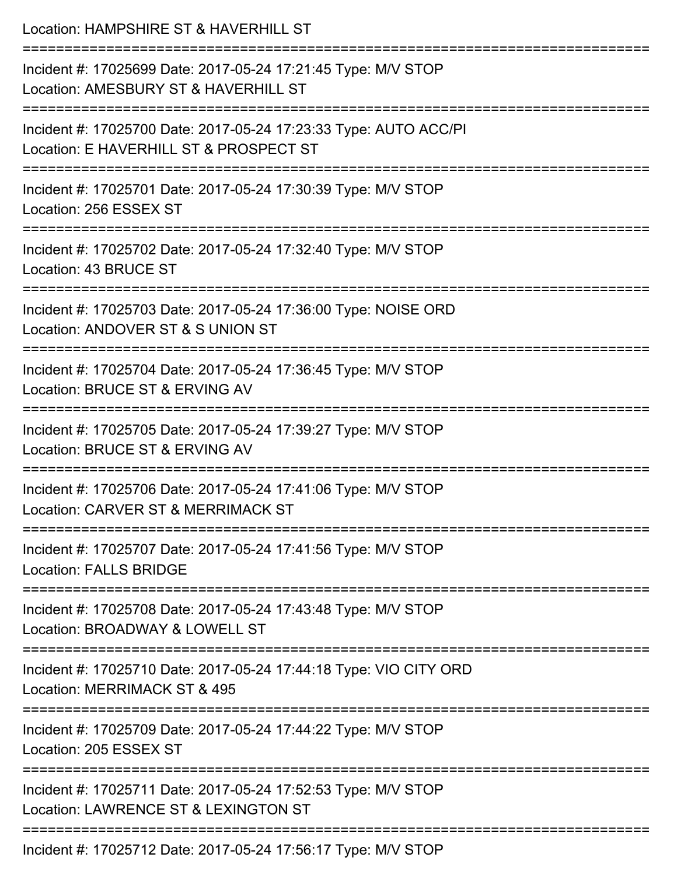| Location: HAMPSHIRE ST & HAVERHILL ST                                                                                          |
|--------------------------------------------------------------------------------------------------------------------------------|
| Incident #: 17025699 Date: 2017-05-24 17:21:45 Type: M/V STOP<br>Location: AMESBURY ST & HAVERHILL ST                          |
| Incident #: 17025700 Date: 2017-05-24 17:23:33 Type: AUTO ACC/PI<br>Location: E HAVERHILL ST & PROSPECT ST                     |
| Incident #: 17025701 Date: 2017-05-24 17:30:39 Type: M/V STOP<br>Location: 256 ESSEX ST                                        |
| Incident #: 17025702 Date: 2017-05-24 17:32:40 Type: M/V STOP<br>Location: 43 BRUCE ST                                         |
| Incident #: 17025703 Date: 2017-05-24 17:36:00 Type: NOISE ORD<br>Location: ANDOVER ST & S UNION ST                            |
| :==========================<br>Incident #: 17025704 Date: 2017-05-24 17:36:45 Type: M/V STOP<br>Location: BRUCE ST & ERVING AV |
| Incident #: 17025705 Date: 2017-05-24 17:39:27 Type: M/V STOP<br>Location: BRUCE ST & ERVING AV                                |
| Incident #: 17025706 Date: 2017-05-24 17:41:06 Type: M/V STOP<br>Location: CARVER ST & MERRIMACK ST                            |
| Incident #: 17025707 Date: 2017-05-24 17:41:56 Type: M/V STOP<br><b>Location: FALLS BRIDGE</b>                                 |
| Incident #: 17025708 Date: 2017-05-24 17:43:48 Type: M/V STOP<br>Location: BROADWAY & LOWELL ST                                |
| Incident #: 17025710 Date: 2017-05-24 17:44:18 Type: VIO CITY ORD<br>Location: MERRIMACK ST & 495                              |
| Incident #: 17025709 Date: 2017-05-24 17:44:22 Type: M/V STOP<br>Location: 205 ESSEX ST                                        |
| Incident #: 17025711 Date: 2017-05-24 17:52:53 Type: M/V STOP<br>Location: LAWRENCE ST & LEXINGTON ST                          |
| Incident #: 17025712 Date: 2017-05-24 17:56:17 Type: M/V STOP                                                                  |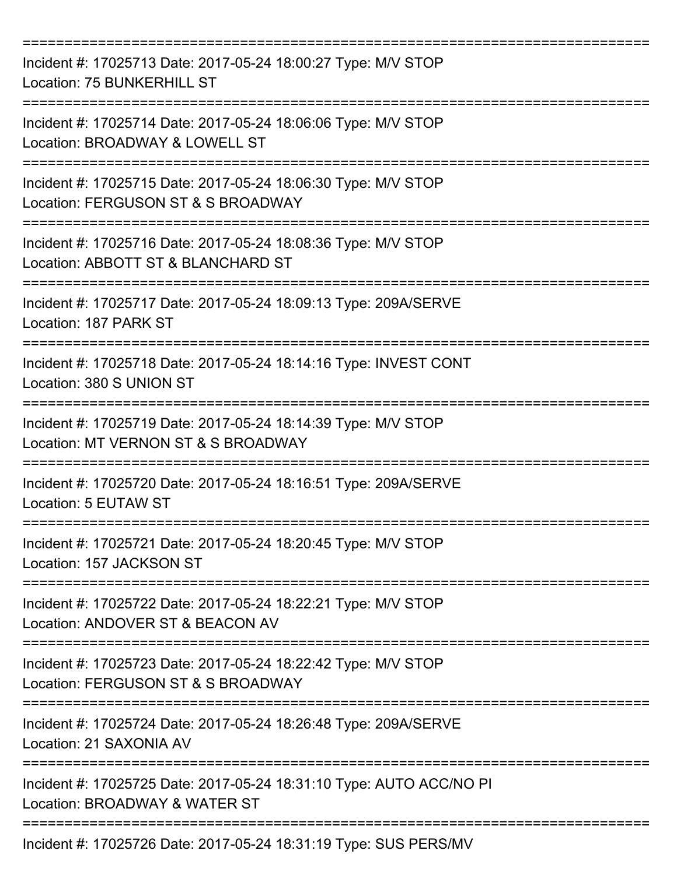| Incident #: 17025713 Date: 2017-05-24 18:00:27 Type: M/V STOP<br>Location: 75 BUNKERHILL ST          |
|------------------------------------------------------------------------------------------------------|
| Incident #: 17025714 Date: 2017-05-24 18:06:06 Type: M/V STOP<br>Location: BROADWAY & LOWELL ST      |
| Incident #: 17025715 Date: 2017-05-24 18:06:30 Type: M/V STOP<br>Location: FERGUSON ST & S BROADWAY  |
| Incident #: 17025716 Date: 2017-05-24 18:08:36 Type: M/V STOP<br>Location: ABBOTT ST & BLANCHARD ST  |
| Incident #: 17025717 Date: 2017-05-24 18:09:13 Type: 209A/SERVE<br>Location: 187 PARK ST             |
| Incident #: 17025718 Date: 2017-05-24 18:14:16 Type: INVEST CONT<br>Location: 380 S UNION ST         |
| Incident #: 17025719 Date: 2017-05-24 18:14:39 Type: M/V STOP<br>Location: MT VERNON ST & S BROADWAY |
| Incident #: 17025720 Date: 2017-05-24 18:16:51 Type: 209A/SERVE<br>Location: 5 EUTAW ST              |
| Incident #: 17025721 Date: 2017-05-24 18:20:45 Type: M/V STOP<br>Location: 157 JACKSON ST            |
| Incident #: 17025722 Date: 2017-05-24 18:22:21 Type: M/V STOP<br>Location: ANDOVER ST & BEACON AV    |
| Incident #: 17025723 Date: 2017-05-24 18:22:42 Type: M/V STOP<br>Location: FERGUSON ST & S BROADWAY  |
| Incident #: 17025724 Date: 2017-05-24 18:26:48 Type: 209A/SERVE<br>Location: 21 SAXONIA AV           |
| Incident #: 17025725 Date: 2017-05-24 18:31:10 Type: AUTO ACC/NO PI<br>Location: BROADWAY & WATER ST |
| Incident #: 17025726 Date: 2017-05-24 18:31:19 Type: SUS PERS/MV                                     |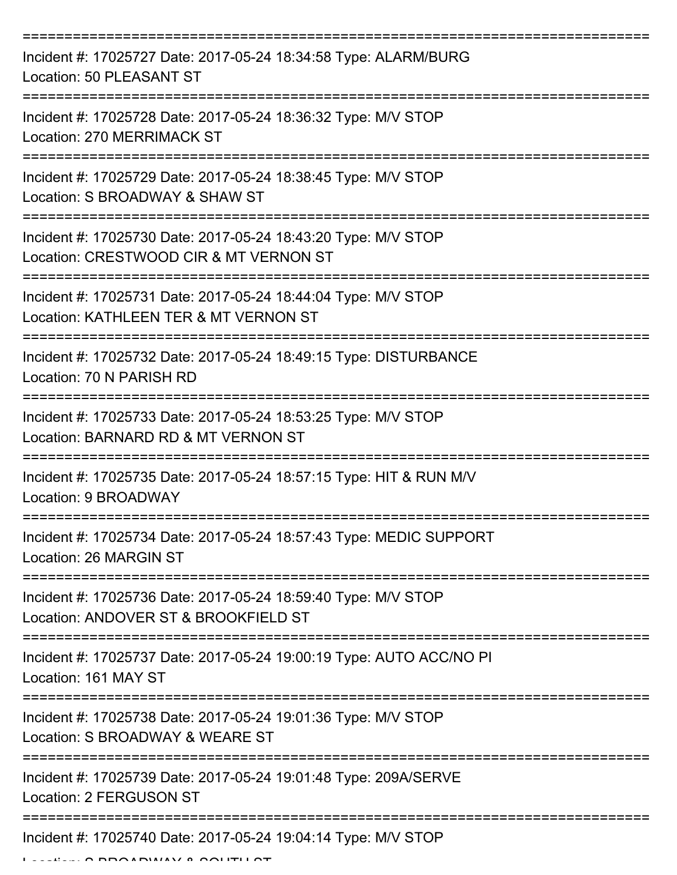| Incident #: 17025727 Date: 2017-05-24 18:34:58 Type: ALARM/BURG<br>Location: 50 PLEASANT ST                                       |
|-----------------------------------------------------------------------------------------------------------------------------------|
| Incident #: 17025728 Date: 2017-05-24 18:36:32 Type: M/V STOP<br>Location: 270 MERRIMACK ST                                       |
| Incident #: 17025729 Date: 2017-05-24 18:38:45 Type: M/V STOP<br>Location: S BROADWAY & SHAW ST                                   |
| Incident #: 17025730 Date: 2017-05-24 18:43:20 Type: M/V STOP<br>Location: CRESTWOOD CIR & MT VERNON ST                           |
| Incident #: 17025731 Date: 2017-05-24 18:44:04 Type: M/V STOP<br>Location: KATHLEEN TER & MT VERNON ST                            |
| Incident #: 17025732 Date: 2017-05-24 18:49:15 Type: DISTURBANCE<br>Location: 70 N PARISH RD                                      |
| Incident #: 17025733 Date: 2017-05-24 18:53:25 Type: M/V STOP<br>Location: BARNARD RD & MT VERNON ST                              |
| Incident #: 17025735 Date: 2017-05-24 18:57:15 Type: HIT & RUN M/V<br>Location: 9 BROADWAY                                        |
| Incident #: 17025734 Date: 2017-05-24 18:57:43 Type: MEDIC SUPPORT<br>Location: 26 MARGIN ST                                      |
| Incident #: 17025736 Date: 2017-05-24 18:59:40 Type: M/V STOP<br>Location: ANDOVER ST & BROOKFIELD ST                             |
| Incident #: 17025737 Date: 2017-05-24 19:00:19 Type: AUTO ACC/NO PI<br>Location: 161 MAY ST<br>---------------------------------- |
| Incident #: 17025738 Date: 2017-05-24 19:01:36 Type: M/V STOP<br>Location: S BROADWAY & WEARE ST                                  |
| Incident #: 17025739 Date: 2017-05-24 19:01:48 Type: 209A/SERVE<br><b>Location: 2 FERGUSON ST</b>                                 |
| Incident #: 17025740 Date: 2017-05-24 19:04:14 Type: M/V STOP                                                                     |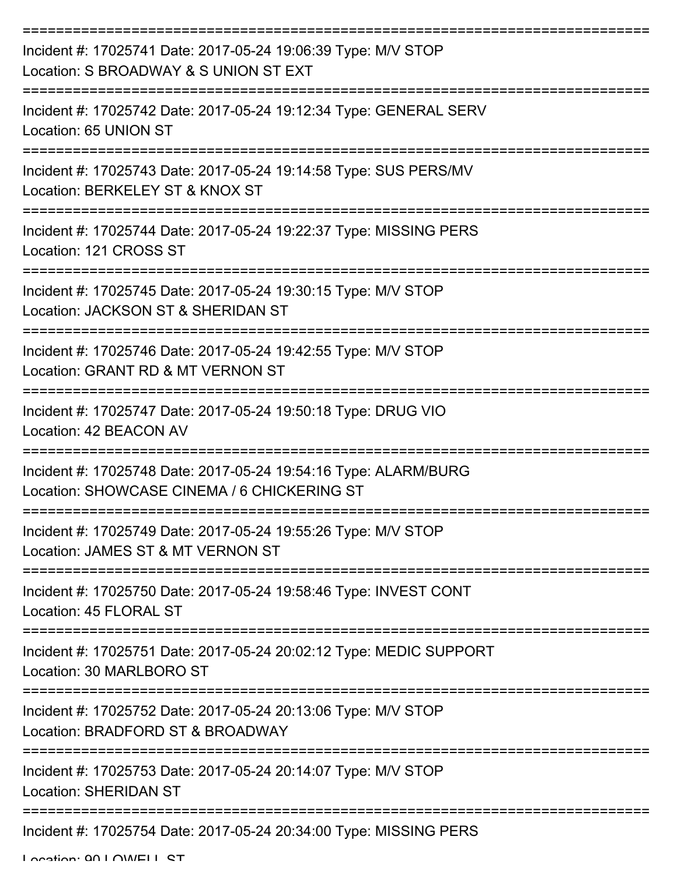| Incident #: 17025741 Date: 2017-05-24 19:06:39 Type: M/V STOP<br>Location: S BROADWAY & S UNION ST EXT<br>---------------------------- |
|----------------------------------------------------------------------------------------------------------------------------------------|
| Incident #: 17025742 Date: 2017-05-24 19:12:34 Type: GENERAL SERV<br>Location: 65 UNION ST                                             |
| Incident #: 17025743 Date: 2017-05-24 19:14:58 Type: SUS PERS/MV<br>Location: BERKELEY ST & KNOX ST                                    |
| Incident #: 17025744 Date: 2017-05-24 19:22:37 Type: MISSING PERS<br>Location: 121 CROSS ST<br>-----------------                       |
| Incident #: 17025745 Date: 2017-05-24 19:30:15 Type: M/V STOP<br>Location: JACKSON ST & SHERIDAN ST                                    |
| Incident #: 17025746 Date: 2017-05-24 19:42:55 Type: M/V STOP<br>Location: GRANT RD & MT VERNON ST                                     |
| Incident #: 17025747 Date: 2017-05-24 19:50:18 Type: DRUG VIO<br>Location: 42 BEACON AV                                                |
| Incident #: 17025748 Date: 2017-05-24 19:54:16 Type: ALARM/BURG<br>Location: SHOWCASE CINEMA / 6 CHICKERING ST                         |
| Incident #: 17025749 Date: 2017-05-24 19:55:26 Type: M/V STOP<br>Location: JAMES ST & MT VERNON ST                                     |
| Incident #: 17025750 Date: 2017-05-24 19:58:46 Type: INVEST CONT<br>Location: 45 FLORAL ST                                             |
| Incident #: 17025751 Date: 2017-05-24 20:02:12 Type: MEDIC SUPPORT<br>Location: 30 MARLBORO ST                                         |
| Incident #: 17025752 Date: 2017-05-24 20:13:06 Type: M/V STOP<br>Location: BRADFORD ST & BROADWAY                                      |
| Incident #: 17025753 Date: 2017-05-24 20:14:07 Type: M/V STOP<br><b>Location: SHERIDAN ST</b>                                          |
| Incident #: 17025754 Date: 2017-05-24 20:34:00 Type: MISSING PERS                                                                      |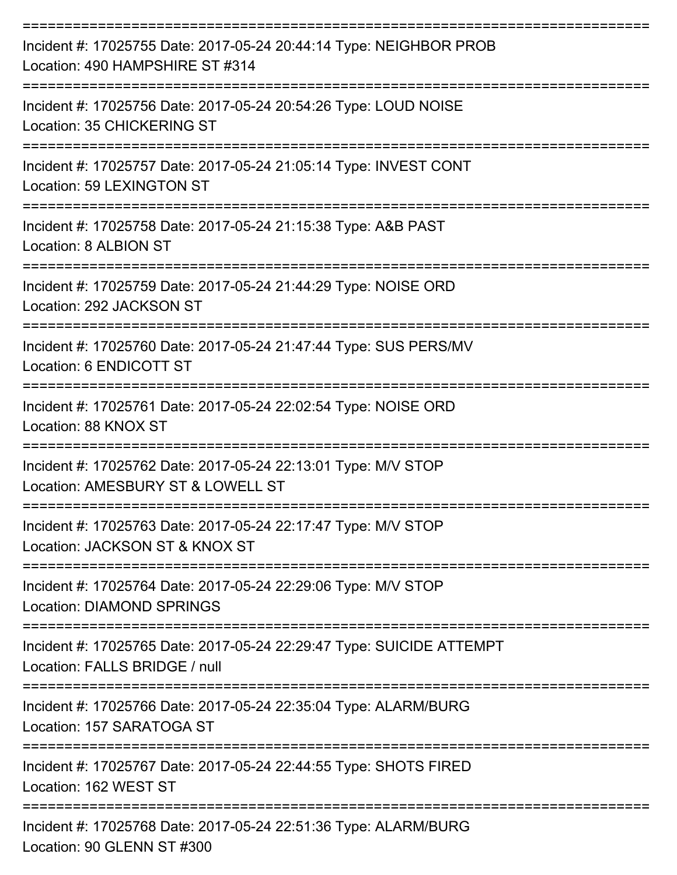| Incident #: 17025755 Date: 2017-05-24 20:44:14 Type: NEIGHBOR PROB<br>Location: 490 HAMPSHIRE ST #314 |
|-------------------------------------------------------------------------------------------------------|
| Incident #: 17025756 Date: 2017-05-24 20:54:26 Type: LOUD NOISE<br>Location: 35 CHICKERING ST         |
| Incident #: 17025757 Date: 2017-05-24 21:05:14 Type: INVEST CONT<br>Location: 59 LEXINGTON ST         |
| Incident #: 17025758 Date: 2017-05-24 21:15:38 Type: A&B PAST<br>Location: 8 ALBION ST                |
| Incident #: 17025759 Date: 2017-05-24 21:44:29 Type: NOISE ORD<br>Location: 292 JACKSON ST            |
| Incident #: 17025760 Date: 2017-05-24 21:47:44 Type: SUS PERS/MV<br>Location: 6 ENDICOTT ST           |
| Incident #: 17025761 Date: 2017-05-24 22:02:54 Type: NOISE ORD<br>Location: 88 KNOX ST                |
| Incident #: 17025762 Date: 2017-05-24 22:13:01 Type: M/V STOP<br>Location: AMESBURY ST & LOWELL ST    |
| Incident #: 17025763 Date: 2017-05-24 22:17:47 Type: M/V STOP<br>Location: JACKSON ST & KNOX ST       |
| Incident #: 17025764 Date: 2017-05-24 22:29:06 Type: M/V STOP<br><b>Location: DIAMOND SPRINGS</b>     |
| Incident #: 17025765 Date: 2017-05-24 22:29:47 Type: SUICIDE ATTEMPT<br>Location: FALLS BRIDGE / null |
| Incident #: 17025766 Date: 2017-05-24 22:35:04 Type: ALARM/BURG<br>Location: 157 SARATOGA ST          |
| Incident #: 17025767 Date: 2017-05-24 22:44:55 Type: SHOTS FIRED<br>Location: 162 WEST ST             |
| Incident #: 17025768 Date: 2017-05-24 22:51:36 Type: ALARM/BURG<br>Location: 90 GLENN ST #300         |